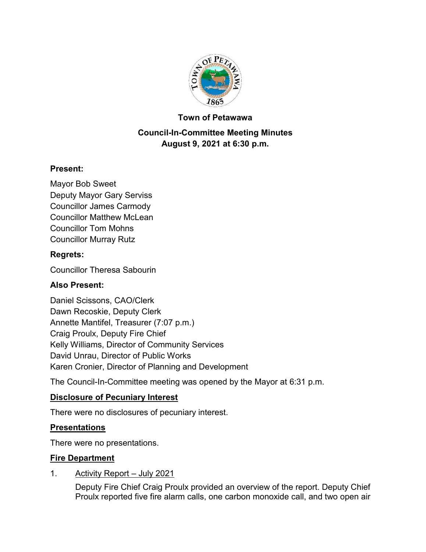

#### **Town of Petawawa**

## **Council-In-Committee Meeting Minutes August 9, 2021 at 6:30 p.m.**

#### **Present:**

Mayor Bob Sweet Deputy Mayor Gary Serviss Councillor James Carmody Councillor Matthew McLean Councillor Tom Mohns Councillor Murray Rutz

#### **Regrets:**

Councillor Theresa Sabourin

#### **Also Present:**

Daniel Scissons, CAO/Clerk Dawn Recoskie, Deputy Clerk Annette Mantifel, Treasurer (7:07 p.m.) Craig Proulx, Deputy Fire Chief Kelly Williams, Director of Community Services David Unrau, Director of Public Works Karen Cronier, Director of Planning and Development

The Council-In-Committee meeting was opened by the Mayor at 6:31 p.m.

#### **Disclosure of Pecuniary Interest**

There were no disclosures of pecuniary interest.

#### **Presentations**

There were no presentations.

#### **Fire Department**

#### 1. Activity Report – July 2021

Deputy Fire Chief Craig Proulx provided an overview of the report. Deputy Chief Proulx reported five fire alarm calls, one carbon monoxide call, and two open air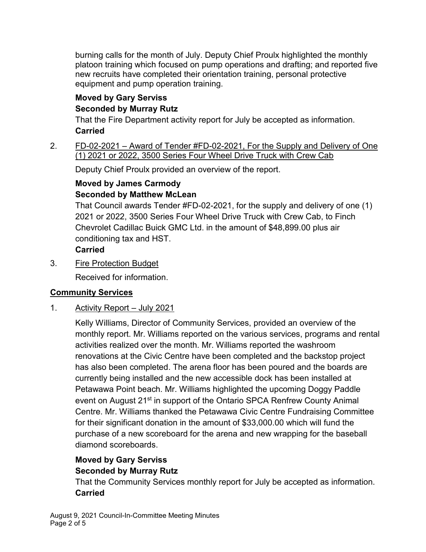burning calls for the month of July. Deputy Chief Proulx highlighted the monthly platoon training which focused on pump operations and drafting; and reported five new recruits have completed their orientation training, personal protective equipment and pump operation training.

## **Moved by Gary Serviss**

## **Seconded by Murray Rutz**

That the Fire Department activity report for July be accepted as information. **Carried**

2. FD-02-2021 – Award of Tender #FD-02-2021, For the Supply and Delivery of One (1) 2021 or 2022, 3500 Series Four Wheel Drive Truck with Crew Cab

Deputy Chief Proulx provided an overview of the report.

#### **Moved by James Carmody Seconded by Matthew McLean**

That Council awards Tender #FD-02-2021, for the supply and delivery of one (1) 2021 or 2022, 3500 Series Four Wheel Drive Truck with Crew Cab, to Finch Chevrolet Cadillac Buick GMC Ltd. in the amount of \$48,899.00 plus air conditioning tax and HST.

## **Carried**

3. Fire Protection Budget

Received for information.

# **Community Services**

1. Activity Report – July 2021

Kelly Williams, Director of Community Services, provided an overview of the monthly report. Mr. Williams reported on the various services, programs and rental activities realized over the month. Mr. Williams reported the washroom renovations at the Civic Centre have been completed and the backstop project has also been completed. The arena floor has been poured and the boards are currently being installed and the new accessible dock has been installed at Petawawa Point beach. Mr. Williams highlighted the upcoming Doggy Paddle event on August 21<sup>st</sup> in support of the Ontario SPCA Renfrew County Animal Centre. Mr. Williams thanked the Petawawa Civic Centre Fundraising Committee for their significant donation in the amount of \$33,000.00 which will fund the purchase of a new scoreboard for the arena and new wrapping for the baseball diamond scoreboards.

# **Moved by Gary Serviss**

# **Seconded by Murray Rutz**

That the Community Services monthly report for July be accepted as information. **Carried**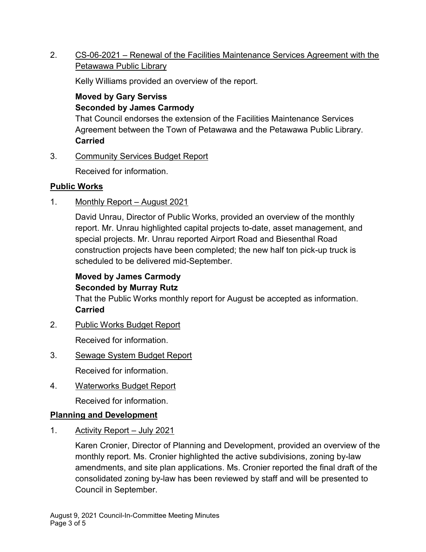2. CS-06-2021 – Renewal of the Facilities Maintenance Services Agreement with the Petawawa Public Library

Kelly Williams provided an overview of the report.

### **Moved by Gary Serviss Seconded by James Carmody**

That Council endorses the extension of the Facilities Maintenance Services Agreement between the Town of Petawawa and the Petawawa Public Library. **Carried**

3. Community Services Budget Report

Received for information.

#### **Public Works**

1. Monthly Report – August 2021

David Unrau, Director of Public Works, provided an overview of the monthly report. Mr. Unrau highlighted capital projects to-date, asset management, and special projects. Mr. Unrau reported Airport Road and Biesenthal Road construction projects have been completed; the new half ton pick-up truck is scheduled to be delivered mid-September.

# **Moved by James Carmody Seconded by Murray Rutz**

That the Public Works monthly report for August be accepted as information. **Carried**

2. Public Works Budget Report

Received for information.

3. Sewage System Budget Report

Received for information.

4. Waterworks Budget Report

Received for information.

## **Planning and Development**

1. Activity Report – July 2021

Karen Cronier, Director of Planning and Development, provided an overview of the monthly report. Ms. Cronier highlighted the active subdivisions, zoning by-law amendments, and site plan applications. Ms. Cronier reported the final draft of the consolidated zoning by-law has been reviewed by staff and will be presented to Council in September.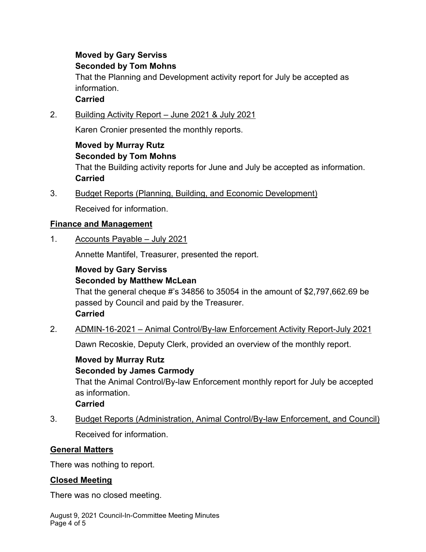## **Moved by Gary Serviss Seconded by Tom Mohns**

That the Planning and Development activity report for July be accepted as information.

## **Carried**

2. Building Activity Report – June 2021 & July 2021

Karen Cronier presented the monthly reports.

# **Moved by Murray Rutz**

#### **Seconded by Tom Mohns**

That the Building activity reports for June and July be accepted as information. **Carried**

3. Budget Reports (Planning, Building, and Economic Development)

Received for information.

## **Finance and Management**

1. Accounts Payable – July 2021

Annette Mantifel, Treasurer, presented the report.

# **Moved by Gary Serviss Seconded by Matthew McLean**

That the general cheque #'s 34856 to 35054 in the amount of \$2,797,662.69 be passed by Council and paid by the Treasurer. **Carried**

2. ADMIN-16-2021 – Animal Control/By-law Enforcement Activity Report-July 2021

Dawn Recoskie, Deputy Clerk, provided an overview of the monthly report.

#### **Moved by Murray Rutz Seconded by James Carmody**

That the Animal Control/By-law Enforcement monthly report for July be accepted as information.

#### **Carried**

3. Budget Reports (Administration, Animal Control/By-law Enforcement, and Council) Received for information.

## **General Matters**

There was nothing to report.

## **Closed Meeting**

There was no closed meeting.